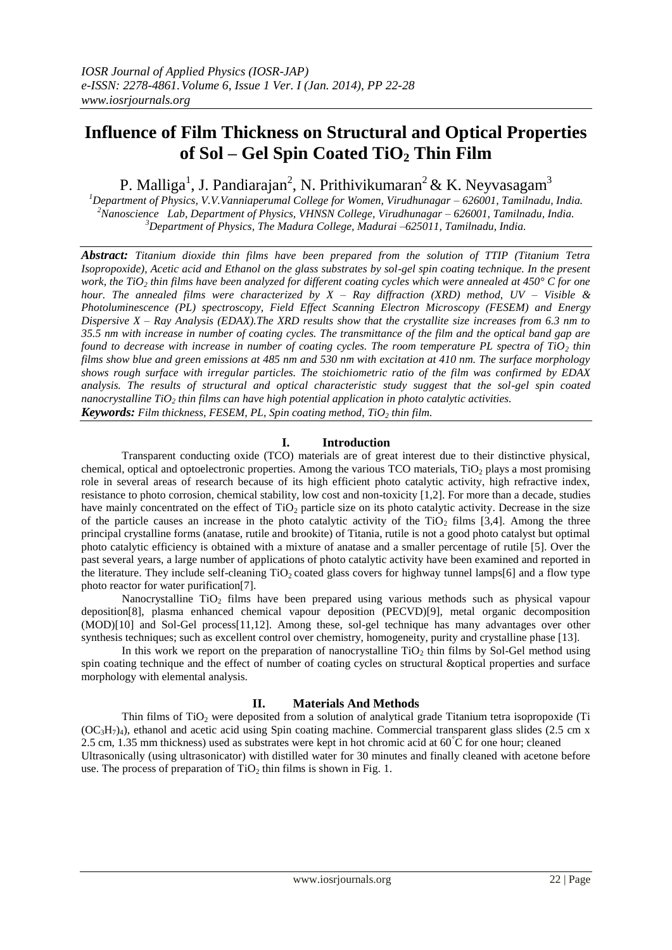# **Influence of Film Thickness on Structural and Optical Properties of Sol – Gel Spin Coated TiO<sup>2</sup> Thin Film**

P. Malliga<sup>1</sup>, J. Pandiarajan<sup>2</sup>, N. Prithivikumaran<sup>2</sup> & K. Neyvasagam<sup>3</sup>

*<sup>1</sup>Department of Physics, V.V.Vanniaperumal College for Women, Virudhunagar – 626001, Tamilnadu, India. <sup>2</sup>Nanoscience Lab, Department of Physics, VHNSN College, Virudhunagar – 626001, Tamilnadu, India. <sup>3</sup>Department of Physics, The Madura College, Madurai –625011, Tamilnadu, India.*

*Abstract: Titanium dioxide thin films have been prepared from the solution of TTIP (Titanium Tetra Isopropoxide), Acetic acid and Ethanol on the glass substrates by sol-gel spin coating technique. In the present work, the TiO<sup>2</sup> thin films have been analyzed for different coating cycles which were annealed at 450° C for one hour. The annealed films were characterized by X – Ray diffraction (XRD) method, UV – Visible & Photoluminescence (PL) spectroscopy, Field Effect Scanning Electron Microscopy (FESEM) and Energy Dispersive X – Ray Analysis (EDAX).The XRD results show that the crystallite size increases from 6.3 nm to 35.5 nm with increase in number of coating cycles. The transmittance of the film and the optical band gap are found to decrease with increase in number of coating cycles. The room temperature PL spectra of TiO<sup>2</sup> thin films show blue and green emissions at 485 nm and 530 nm with excitation at 410 nm. The surface morphology shows rough surface with irregular particles. The stoichiometric ratio of the film was confirmed by EDAX analysis. The results of structural and optical characteristic study suggest that the sol-gel spin coated nanocrystalline TiO<sup>2</sup> thin films can have high potential application in photo catalytic activities. Keywords: Film thickness, FESEM, PL, Spin coating method, TiO<sup>2</sup> thin film.*

# **I. Introduction**

Transparent conducting oxide (TCO) materials are of great interest due to their distinctive physical, chemical, optical and optoelectronic properties. Among the various TCO materials, TiO<sub>2</sub> plays a most promising role in several areas of research because of its high efficient photo catalytic activity, high refractive index, resistance to photo corrosion, chemical stability, low cost and non-toxicity [1,2]. For more than a decade, studies have mainly concentrated on the effect of  $TiO<sub>2</sub>$  particle size on its photo catalytic activity. Decrease in the size of the particle causes an increase in the photo catalytic activity of the  $TiO<sub>2</sub>$  films [3,4]. Among the three principal crystalline forms (anatase, rutile and brookite) of Titania, rutile is not a good photo catalyst but optimal photo catalytic efficiency is obtained with a mixture of anatase and a smaller percentage of rutile [5]. Over the past several years, a large number of applications of photo catalytic activity have been examined and reported in the literature. They include self-cleaning TiO<sub>2</sub> coated glass covers for highway tunnel lamps[6] and a flow type photo reactor for water purification[7].

Nanocrystalline  $TiO<sub>2</sub>$  films have been prepared using various methods such as physical vapour deposition[8], plasma enhanced chemical vapour deposition (PECVD)[9], metal organic decomposition (MOD)[10] and Sol-Gel process[11,12]. Among these, sol-gel technique has many advantages over other synthesis techniques; such as excellent control over chemistry, homogeneity, purity and crystalline phase [13].

In this work we report on the preparation of nanocrystalline  $TiO<sub>2</sub>$  thin films by Sol-Gel method using spin coating technique and the effect of number of coating cycles on structural &optical properties and surface morphology with elemental analysis.

## **II. Materials And Methods**

Thin films of  $TiO<sub>2</sub>$  were deposited from a solution of analytical grade Titanium tetra isopropoxide (Ti  $(OC<sub>3</sub>H<sub>7</sub>)<sub>4</sub>$ , ethanol and acetic acid using Spin coating machine. Commercial transparent glass slides (2.5 cm x 2.5 cm, 1.35 mm thickness) used as substrates were kept in hot chromic acid at 60°C for one hour; cleaned Ultrasonically (using ultrasonicator) with distilled water for 30 minutes and finally cleaned with acetone before use. The process of preparation of  $TiO<sub>2</sub>$  thin films is shown in Fig. 1.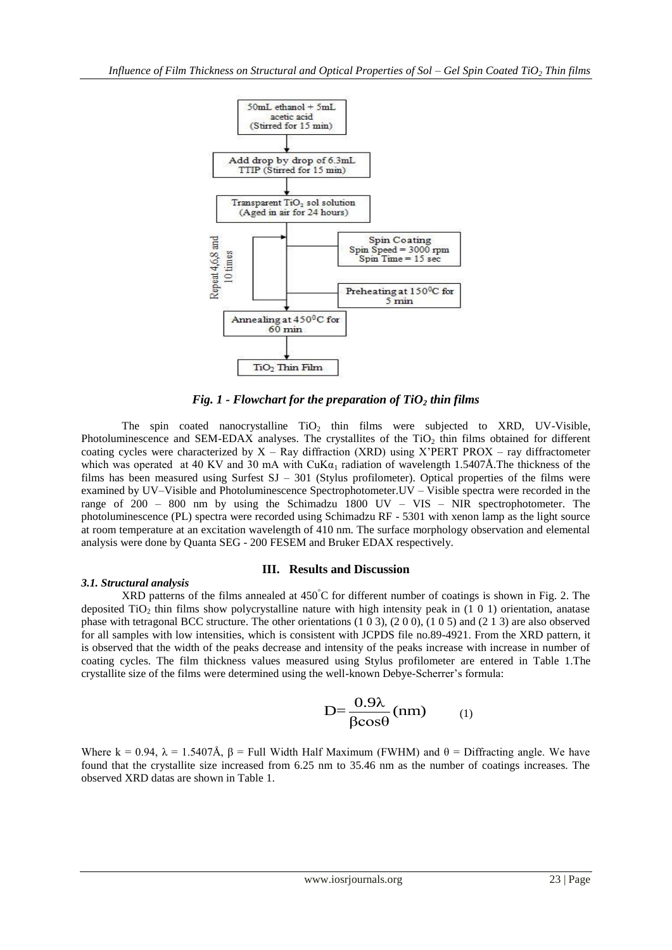

*Fig. 1 - Flowchart for the preparation of TiO<sup>2</sup> thin films*

The spin coated nanocrystalline  $TiO<sub>2</sub>$  thin films were subjected to XRD, UV-Visible, Photoluminescence and SEM-EDAX analyses. The crystallites of the  $TiO<sub>2</sub>$  thin films obtained for different coating cycles were characterized by  $X - Ray$  diffraction (XRD) using X'PERT PROX – ray diffractometer which was operated at 40 KV and 30 mA with CuK $\alpha_1$  radiation of wavelength 1.5407Å. The thickness of the films has been measured using Surfest SJ – 301 (Stylus profilometer). Optical properties of the films were examined by UV–Visible and Photoluminescence Spectrophotometer.UV – Visible spectra were recorded in the range of  $200 - 800$  nm by using the Schimadzu  $1800$  UV – VIS – NIR spectrophotometer. The photoluminescence (PL) spectra were recorded using Schimadzu RF - 5301 with xenon lamp as the light source at room temperature at an excitation wavelength of 410 nm. The surface morphology observation and elemental analysis were done by Quanta SEG - 200 FESEM and Bruker EDAX respectively.

## **III. Results and Discussion**

## *3.1. Structural analysis*

XRD patterns of the films annealed at 450°C for different number of coatings is shown in Fig. 2. The deposited TiO<sup>2</sup> thin films show polycrystalline nature with high intensity peak in (1 0 1) orientation, anatase phase with tetragonal BCC structure. The other orientations (1 0 3), (2 0 0), (1 0 5) and (2 1 3) are also observed for all samples with low intensities, which is consistent with JCPDS file no.89-4921. From the XRD pattern, it is observed that the width of the peaks decrease and intensity of the peaks increase with increase in number of coating cycles. The film thickness values measured using Stylus profilometer are entered in Table 1.The crystallite size of the films were determined using the well-known Debye-Scherrer's formula:

$$
D = \frac{0.9\lambda}{\beta cos\theta} (nm) \qquad (1)
$$

Where k = 0.94,  $\lambda$  = 1.5407Å,  $\beta$  = Full Width Half Maximum (FWHM) and  $\theta$  = Diffracting angle. We have found that the crystallite size increased from 6.25 nm to 35.46 nm as the number of coatings increases. The observed XRD datas are shown in Table 1.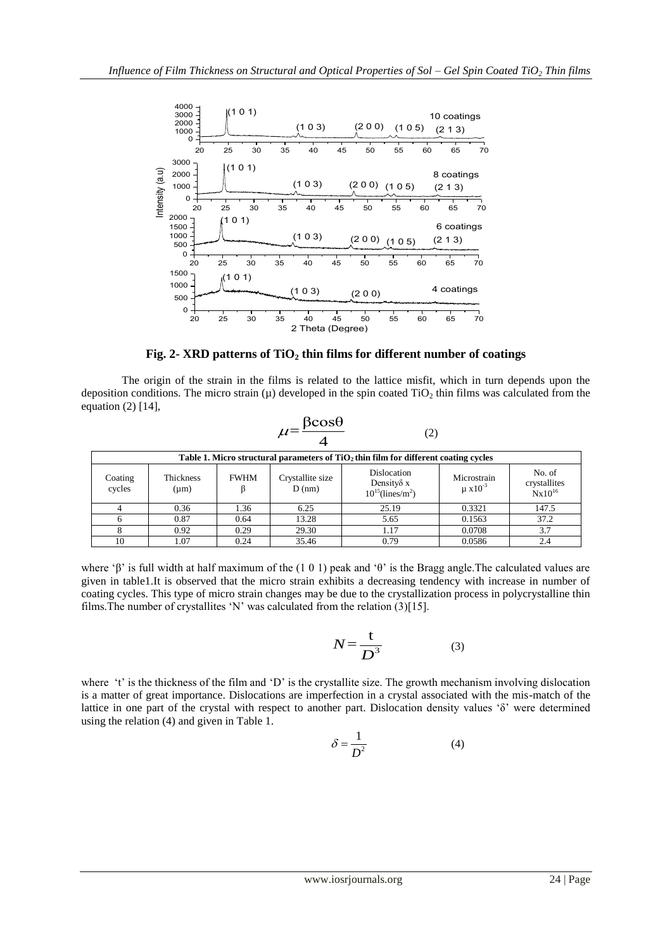

**Fig. 2- XRD patterns of TiO<sup>2</sup> thin films for different number of coatings**

The origin of the strain in the films is related to the lattice misfit, which in turn depends upon the deposition conditions. The micro strain  $(\mu)$  developed in the spin coated TiO<sub>2</sub> thin films was calculated from the equation (2) [14],

 $=\frac{\beta cos\theta}{4}$  $\mu = \frac{1}{4}$ (2)

| 4                                                                                     |                        |             |                              |                                                                |                                        |                                       |  |  |  |
|---------------------------------------------------------------------------------------|------------------------|-------------|------------------------------|----------------------------------------------------------------|----------------------------------------|---------------------------------------|--|--|--|
| Table 1. Micro structural parameters of $TiO2$ thin film for different coating cycles |                        |             |                              |                                                                |                                        |                                       |  |  |  |
| Coating<br>cycles                                                                     | Thickness<br>$(\mu m)$ | <b>FWHM</b> | Crystallite size<br>$D$ (nm) | Dislocation<br>Density 8x<br>$10^{15}$ (lines/m <sup>2</sup> ) | Microstrain<br>$\mu$ x10 <sup>-3</sup> | No. of<br>crystallites<br>$Nx10^{16}$ |  |  |  |
|                                                                                       | 0.36                   | 1.36        | 6.25                         | 25.19                                                          | 0.3321                                 | 147.5                                 |  |  |  |
|                                                                                       | 0.87                   | 0.64        | 13.28                        | 5.65                                                           | 0.1563                                 | 37.2                                  |  |  |  |
|                                                                                       | 0.92                   | 0.29        | 29.30                        | 1.17                                                           | 0.0708                                 | 3.7                                   |  |  |  |
| 10                                                                                    | 1.07                   | 0.24        | 35.46                        | 0.79                                                           | 0.0586                                 | 2.4                                   |  |  |  |

where 'β' is full width at half maximum of the (1 0 1) peak and 'θ' is the Bragg angle. The calculated values are given in table1.It is observed that the micro strain exhibits a decreasing tendency with increase in number of coating cycles. This type of micro strain changes may be due to the crystallization process in polycrystalline thin films. The number of crystallites 'N' was calculated from the relation  $(3)[15]$ .

$$
N = \frac{t}{D^3} \tag{3}
$$

where 't' is the thickness of the film and 'D' is the crystallite size. The growth mechanism involving dislocation is a matter of great importance. Dislocations are imperfection in a crystal associated with the mis-match of the lattice in one part of the crystal with respect to another part. Dislocation density values 'δ' were determined using the relation (4) and given in Table 1.

$$
\delta = \frac{1}{D^2} \tag{4}
$$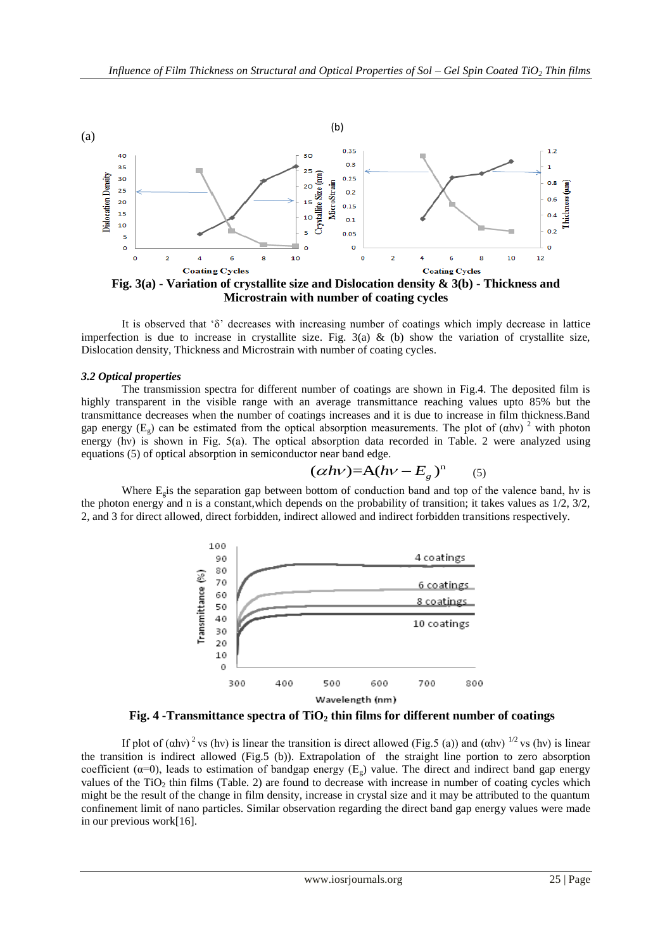

**Microstrain with number of coating cycles**

It is observed that 'δ' decreases with increasing number of coatings which imply decrease in lattice imperfection is due to increase in crystallite size. Fig. 3(a) & (b) show the variation of crystallite size, Dislocation density, Thickness and Microstrain with number of coating cycles.

#### *3.2 Optical properties*

The transmission spectra for different number of coatings are shown in Fig.4. The deposited film is highly transparent in the visible range with an average transmittance reaching values upto 85% but the transmittance decreases when the number of coatings increases and it is due to increase in film thickness.Band gap energy (E<sub>g</sub>) can be estimated from the optical absorption measurements. The plot of (αhν)<sup>2</sup> with photon energy (hv) is shown in Fig. 5(a). The optical absorption data recorded in Table. 2 were analyzed using equations (5) of optical absorption in semiconductor near band edge.

$$
(\alpha h v) = A (h v - E_g)^n \qquad (5)
$$

Where E<sub>gis</sub> the separation gap between bottom of conduction band and top of the valence band, hy is the photon energy and n is a constant,which depends on the probability of transition; it takes values as 1/2, 3/2, 2, and 3 for direct allowed, direct forbidden, indirect allowed and indirect forbidden transitions respectively.



 **Fig. 4 -Transmittance spectra of TiO<sup>2</sup> thin films for different number of coatings**

If plot of  $(\text{ch}v)^2$  vs (hv) is linear the transition is direct allowed (Fig.5 (a)) and  $(\text{ch}v)^{1/2}$  vs (hv) is linear the transition is indirect allowed (Fig.5 (b)). Extrapolation of the straight line portion to zero absorption coefficient  $(\alpha=0)$ , leads to estimation of bandgap energy (E<sub>g</sub>) value. The direct and indirect band gap energy values of the  $TiO<sub>2</sub>$  thin films (Table. 2) are found to decrease with increase in number of coating cycles which might be the result of the change in film density, increase in crystal size and it may be attributed to the quantum confinement limit of nano particles. Similar observation regarding the direct band gap energy values were made in our previous work[16].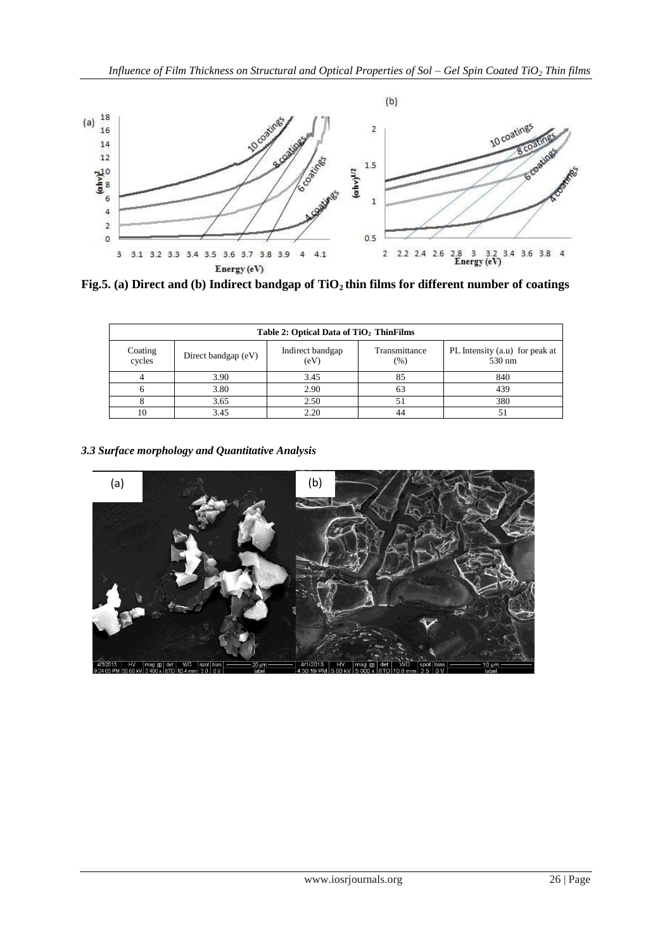

**Fig.5. (a) Direct and (b) Indirect bandgap of TiO2 thin films for different number of coatings**

| Table 2: Optical Data of TiO <sub>2</sub> ThinFilms |                     |                          |                       |                                          |  |  |  |  |
|-----------------------------------------------------|---------------------|--------------------------|-----------------------|------------------------------------------|--|--|--|--|
| Coating<br>cycles                                   | Direct bandgap (eV) | Indirect bandgap<br>(eV) | Transmittance<br>(% ) | PL Intensity (a.u) for peak at<br>530 nm |  |  |  |  |
|                                                     | 3.90                | 3.45                     | 85                    | 840                                      |  |  |  |  |
|                                                     | 3.80                | 2.90                     | 63                    | 439                                      |  |  |  |  |
|                                                     | 3.65                | 2.50                     |                       | 380                                      |  |  |  |  |
|                                                     | 3.45                | 2.20                     | 44                    |                                          |  |  |  |  |

*3.3 Surface morphology and Quantitative Analysis*

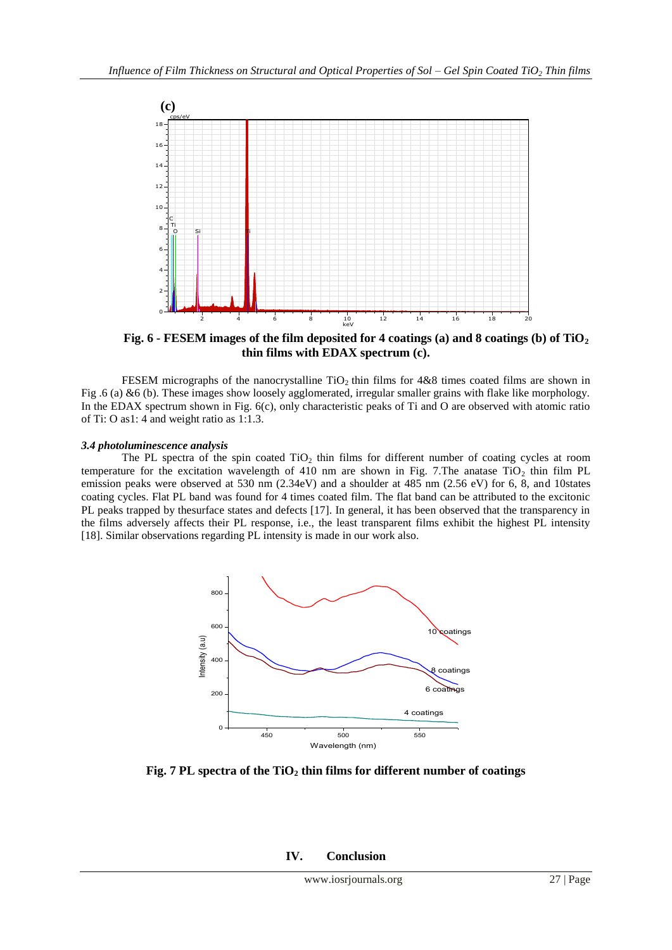

**Fig. 6 - FESEM images of the film deposited for 4 coatings (a) and 8 coatings (b) of TiO<sup>2</sup> thin films with EDAX spectrum (c).**

FESEM micrographs of the nanocrystalline  $TiO<sub>2</sub>$  thin films for 4&8 times coated films are shown in Fig .6 (a) &6 (b). These images show loosely agglomerated, irregular smaller grains with flake like morphology. In the EDAX spectrum shown in Fig. 6(c), only characteristic peaks of Ti and O are observed with atomic ratio of Ti: O as1: 4 and weight ratio as 1:1.3.

## *3.4 photoluminescence analysis*

The PL spectra of the spin coated  $TiO<sub>2</sub>$  thin films for different number of coating cycles at room temperature for the excitation wavelength of 410 nm are shown in Fig. 7. The anatase  $TiO<sub>2</sub>$  thin film PL emission peaks were observed at 530 nm (2.34eV) and a shoulder at 485 nm (2.56 eV) for 6, 8, and 10states coating cycles. Flat PL band was found for 4 times coated film. The flat band can be attributed to the excitonic PL peaks trapped by thesurface states and defects [17]. In general, it has been observed that the transparency in the films adversely affects their PL response, i.e., the least transparent films exhibit the highest PL intensity [18]. Similar observations regarding PL intensity is made in our work also.



**Fig. 7 PL spectra of the TiO<sup>2</sup> thin films for different number of coatings**